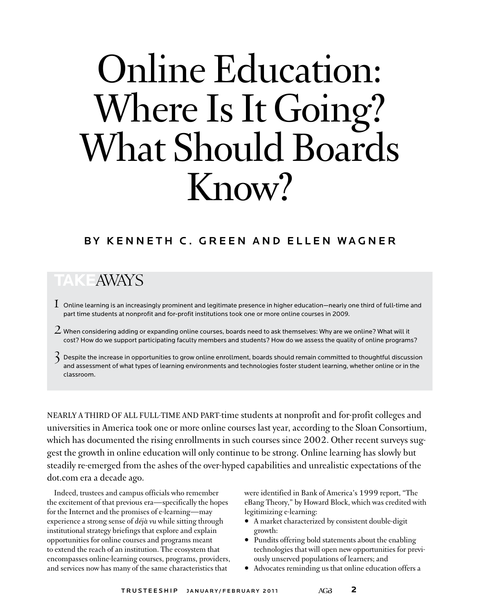# Online Education: Where Is It Going?<br>What Should Boards Know?

### BY KENNETH C. GREEN AND ELLEN WAGNER

## **Take**Aways

- $\rm1~$  Online learning is an increasingly prominent and legitimate presence in higher education—nearly one third of full-time and part time students at nonprofit and for-profit institutions took one or more online courses in 2009.
- $2$  When considering adding or expanding online courses, boards need to ask themselves: Why are we online? What will it cost? How do we support participating faculty members and students? How do we assess the quality of online programs?
- $\hat{\bm{\lambda}}$  Despite the increase in opportunities to grow online enrollment, boards should remain committed to thoughtful discussion and assessment of what types of learning environments and technologies foster student learning, whether online or in the classroom.

Nearly a third of all full-time and part-time students at nonprofit and for-profit colleges and universities in America took one or more online courses last year, according to the Sloan Consortium, which has documented the rising enrollments in such courses since 2002. Other recent surveys suggest the growth in online education will only continue to be strong. Online learning has slowly but steadily re-emerged from the ashes of the over-hyped capabilities and unrealistic expectations of the dot.com era a decade ago.

Indeed, trustees and campus officials who remember the excitement of that previous era—specifically the hopes for the Internet and the promises of e-learning—may experience a strong sense of *déjà vu* while sitting through institutional strategy briefings that explore and explain opportunities for online courses and programs meant to extend the reach of an institution. The ecosystem that encompasses online-learning courses, programs, providers, and services now has many of the same characteristics that

were identified in Bank of America's 1999 report, "The eBang Theory," by Howard Block, which was credited with legitimizing e-learning:

- A market characterized by consistent double-digit growth:
- Pundits offering bold statements about the enabling technologies that will open new opportunities for previously unserved populations of learners; and
- Advocates reminding us that online education offers a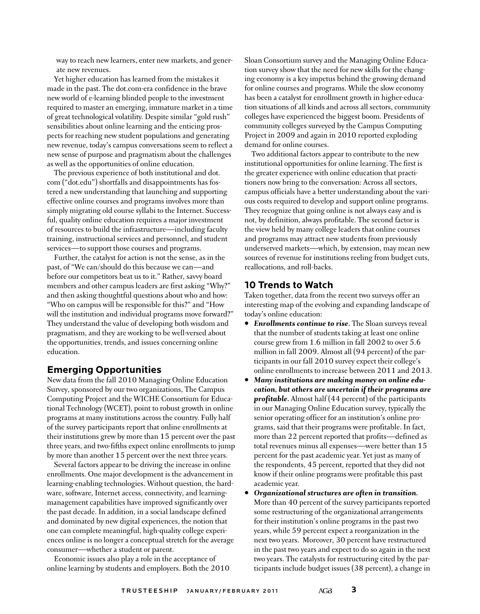way to reach new learners, enter new markets, and generate new revenues.

Yet higher education has learned from the mistakes it made in the past. The dot.com-era confidence in the brave new world of e-learning blinded people to the investment required to master an emerging, immature market in a time of great technological volatility. Despite similar "gold rush" sensibilities about online learning and the enticing prospects for reaching new student populations and generating new revenue, today's campus conversations seem to reflect a new sense of purpose and pragmatism about the challenges as well as the opportunities of online education.

The previous experience of both institutional and dot. com ("dot.edu") shortfalls and disappointments has fostered a new understanding that launching and supporting effective online courses and programs involves more than simply migrating old course syllabi to the Internet. Successful, quality online education requires a major investment of resources to build the infrastructure—including faculty training, instructional services and personnel, and student services—to support those courses and programs.

Further, the catalyst for action is not the sense, as in the past, of "We can/should do this because we can—and before our competitors beat us to it." Rather, savvy board members and other campus leaders are first asking "Why?" and then asking thoughtful questions about who and how: "Who on campus will be responsible for this?" and "How will the institution and individual programs move forward?" They understand the value of developing both wisdom and pragmatism, and they are working to be well-versed about the opportunities, trends, and issues concerning online education.

#### **Emerging Opportunities**

New data from the fall 2010 Managing Online Education Survey, sponsored by our two organizations, The Campus Computing Project and the WICHE Consortium for Educational Technology (WCET), point to robust growth in online programs at many institutions across the country. Fully half of the survey participants report that online enrollments at their institutions grew by more than 15 percent over the past three years, and two-fifths expect online enrollments to jump by more than another 15 percent over the next three years.

Several factors appear to be driving the increase in online enrollments. One major development is the advancement in learning-enabling technologies. Without question, the hardware, software, Internet access, connectivity, and learningmanagement capabilities have improved significantly over the past decade. In addition, in a social landscape defined and dominated by new digital experiences, the notion that one can complete meaningful, high-quality college experiences online is no longer a conceptual stretch for the average consumer—whether a student or parent.

Economic issues also play a role in the acceptance of online learning by students and employers. Both the 2010 Sloan Consortium survey and the Managing Online Education survey show that the need for new skills for the changing economy is a key impetus behind the growing demand for online courses and programs. While the slow economy has been a catalyst for enrollment growth in higher-education situations of all kinds and across all sectors, community colleges have experienced the biggest boom. Presidents of community colleges surveyed by the Campus Computing Project in 2009 and again in 2010 reported exploding demand for online courses.

Two additional factors appear to contribute to the new institutional opportunities for online learning. The first is the greater experience with online education that practitioners now bring to the conversation: Across all sectors, campus officials have a better understanding about the various costs required to develop and support online programs. They recognize that going online is not always easy and is not, by definition, always profitable. The second factor is the view held by many college leaders that online courses and programs may attract new students from previously underserved markets—which, by extension, may mean new sources of revenue for institutions reeling from budget cuts, reallocations, and roll-backs.

#### **10 Trends to Watch**

Taken together, data from the recent two surveys offer an interesting map of the evolving and expanding landscape of today's online education:

- *Enrollments continue to rise.* The Sloan surveys reveal that the number of students taking at least one online course grew from 1.6 million in fall 2002 to over 5.6 million in fall 2009. Almost all (94 percent) of the participants in our fall 2010 survey expect their college's online enrollments to increase between 2011 and 2013.
- *Many institutions are making money on online education, but others are uncertain if their programs are profitable.* Almost half (44 percent) of the participants in our Managing Online Education survey, typically the senior operating officer for an institution's online programs, said that their programs were profitable. In fact, more than 22 percent reported that profits—defined as total revenues minus all expenses—were better than 15 percent for the past academic year. Yet just as many of the respondents, 45 percent, reported that they did not know if their online programs were profitable this past academic year.
- *Organizational structures are often in transition.* More than 40 percent of the survey participants reported some restructuring of the organizational arrangements for their institution's online programs in the past two years, while 59 percent expect a reorganization in the next two years. Moreover, 30 percent have restructured in the past two years and expect to do so again in the next two years. The catalysts for restructuring cited by the participants include budget issues (38 percent), a change in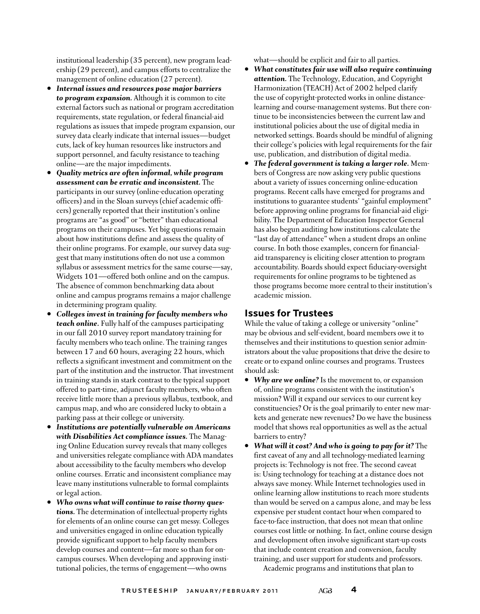institutional leadership (35 percent), new program leadership (29 percent), and campus efforts to centralize the management of online education (27 percent).

- *Internal issues and resources pose major barriers to program expansion.* Although it is common to cite external factors such as national or program accreditation requirements, state regulation, or federal financial-aid regulations as issues that impede program expansion, our survey data clearly indicate that internal issues—budget cuts, lack of key human resources like instructors and support personnel, and faculty resistance to teaching online—are the major impediments.
- *Quality metrics are often informal, while program assessment can be erratic and inconsistent.* The participants in our survey (online-education operating officers) and in the Sloan surveys (chief academic officers) generally reported that their institution's online programs are "as good" or "better" than educational programs on their campuses. Yet big questions remain about how institutions define and assess the quality of their online programs. For example, our survey data suggest that many institutions often do not use a common syllabus or assessment metrics for the same course—say, Widgets 101—offered both online and on the campus. The absence of common benchmarking data about online and campus programs remains a major challenge in determining program quality.
- *Colleges invest in training for faculty members who teach online.* Fully half of the campuses participating in our fall 2010 survey report mandatory training for faculty members who teach online. The training ranges between 17 and 60 hours, averaging 22 hours, which reflects a significant investment and commitment on the part of the institution and the instructor. That investment in training stands in stark contrast to the typical support offered to part-time, adjunct faculty members, who often receive little more than a previous syllabus, textbook, and campus map, and who are considered lucky to obtain a parking pass at their college or university.
- *Institutions are potentially vulnerable on Americans with Disabilities Act compliance issues.* The Managing Online Education survey reveals that many colleges and universities relegate compliance with ADA mandates about accessibility to the faculty members who develop online courses. Erratic and inconsistent compliance may leave many institutions vulnerable to formal complaints or legal action.
- *Who owns what will continue to raise thorny questions.* The determination of intellectual-property rights for elements of an online course can get messy. Colleges and universities engaged in online education typically provide significant support to help faculty members develop courses and content—far more so than for oncampus courses. When developing and approving institutional policies, the terms of engagement—who owns

what—should be explicit and fair to all parties.

- *What constitutes fair use will also require continuing attention.* The Technology, Education, and Copyright Harmonization (TEACH) Act of 2002 helped clarify the use of copyright-protected works in online distancelearning and course-management systems. But there continue to be inconsistencies between the current law and institutional policies about the use of digital media in networked settings. Boards should be mindful of aligning their college's policies with legal requirements for the fair use, publication, and distribution of digital media.
- *The federal government is taking a larger role.* Members of Congress are now asking very public questions about a variety of issues concerning online-education programs. Recent calls have emerged for programs and institutions to guarantee students' "gainful employment" before approving online programs for financial-aid eligibility. The Department of Education Inspector General has also begun auditing how institutions calculate the "last day of attendance" when a student drops an online course. In both those examples, concern for financialaid transparency is eliciting closer attention to program accountability. Boards should expect fiduciary-oversight requirements for online programs to be tightened as those programs become more central to their institution's academic mission.

#### **Issues for Trustees**

While the value of taking a college or university "online" may be obvious and self-evident, board members owe it to themselves and their institutions to question senior administrators about the value propositions that drive the desire to create or to expand online courses and programs. Trustees should ask:

- *Why are we online?* Is the movement to, or expansion of, online programs consistent with the institution's mission? Will it expand our services to our current key constituencies? Or is the goal primarily to enter new markets and generate new revenues? Do we have the business model that shows real opportunities as well as the actual barriers to entry?
- *What will it cost? And who is going to pay for it?* The first caveat of any and all technology-mediated learning projects is: Technology is not free. The second caveat is: Using technology for teaching at a distance does not always save money. While Internet technologies used in online learning allow institutions to reach more students than would be served on a campus alone, and may be less expensive per student contact hour when compared to face-to-face instruction, that does not mean that online courses cost little or nothing. In fact, online course design and development often involve significant start-up costs that include content creation and conversion, faculty training, and user support for students and professors.

Academic programs and institutions that plan to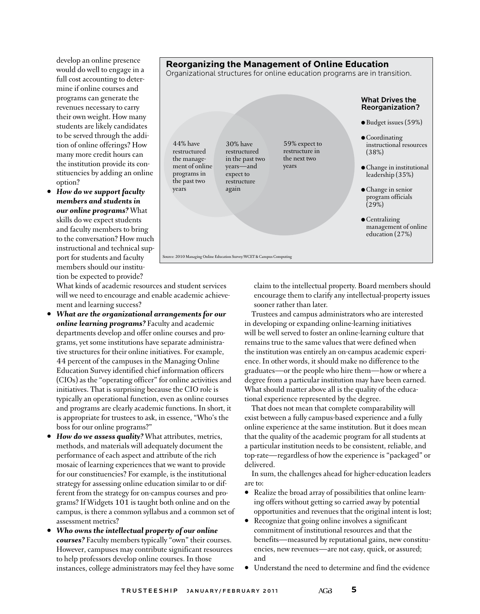develop an online presence would do well to engage in a full cost accounting to determine if online courses and programs can generate the revenues necessary to carry their own weight. How many students are likely candidates to be served through the addition of online offerings? How many more credit hours can the institution provide its constituencies by adding an online option?

• *How do we support faculty members and students in our online programs?* What skills do we expect students and faculty members to bring to the conversation? How much instructional and technical support for students and faculty members should our institution be expected to provide?

What kinds of academic resources and student services will we need to encourage and enable academic achievement and learning success?

- *What are the organizational arrangements for our online learning programs?* Faculty and academic departments develop and offer online courses and programs, yet some institutions have separate administrative structures for their online initiatives. For example, 44 percent of the campuses in the Managing Online Education Survey identified chief information officers (CIOs) as the "operating officer" for online activities and initiatives. That is surprising because the CIO role is typically an operational function, even as online courses and programs are clearly academic functions. In short, it is appropriate for trustees to ask, in essence, "Who's the boss for our online programs?"
- *How do we assess quality?* What attributes, metrics, methods, and materials will adequately document the performance of each aspect and attribute of the rich mosaic of learning experiences that we want to provide for our constituencies? For example, is the institutional strategy for assessing online education similar to or different from the strategy for on-campus courses and programs? If Widgets 101 is taught both online and on the campus, is there a common syllabus and a common set of assessment metrics?
- *Who owns the intellectual property of our online courses?* Faculty members typically "own" their courses. However, campuses may contribute significant resources to help professors develop online courses. In those instances, college administrators may feel they have some

claim to the intellectual property. Board members should encourage them to clarify any intellectual-property issues sooner rather than later.

Trustees and campus administrators who are interested in developing or expanding online-learning initiatives will be well served to foster an online-learning culture that remains true to the same values that were defined when the institution was entirely an on-campus academic experience. In other words, it should make no difference to the graduates—or the people who hire them—how or where a degree from a particular institution may have been earned. What should matter above all is the quality of the educational experience represented by the degree.

That does not mean that complete comparability will exist between a fully campus-based experience and a fully online experience at the same institution. But it does mean that the quality of the academic program for all students at a particular institution needs to be consistent, reliable, and top-rate—regardless of how the experience is "packaged" or delivered.

In sum, the challenges ahead for higher-education leaders are to:

- Realize the broad array of possibilities that online learning offers without getting so carried away by potential opportunities and revenues that the original intent is lost;
- Recognize that going online involves a significant commitment of institutional resources and that the benefits—measured by reputational gains, new constituencies, new revenues—are not easy, quick, or assured; and
- Understand the need to determine and find the evidence



**Reorganizing the Management of Online Education**

Source: 2010 Managing Online Education Survey/WCET & Campus Computing ● Budget issues (59%) **Coordinating** instructional resources (38%)  $\bullet$  Change in institutional leadership (35%) ● Change in senior program officials  $(29%)$  $\bullet$  Centralizing management of online education (27%) 44% have restructured ment of online programs in the past two years 30% have restructured in the past two years—and expect to restructure again 59% expect to restructure in the next two years

#### TRUSTEESHIP JANUARY/FEBRUARY 2011 AGB 5